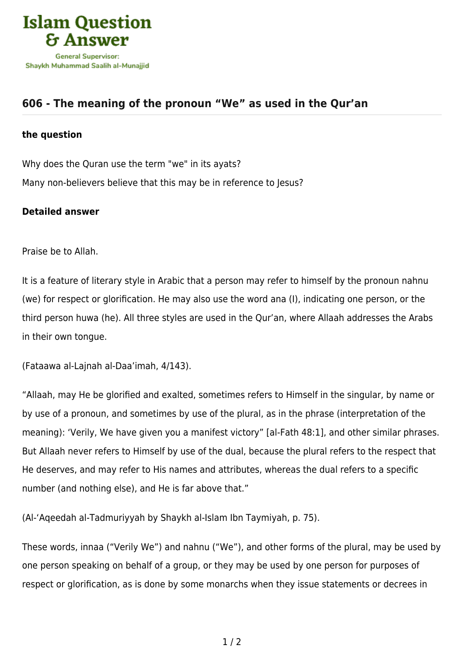

## **[606 - The meaning of the pronoun "We" as used in the Qur'an](https://islamqa.com/en/answers/606/the-meaning-of-the-pronoun-we-as-used-in-the-quran)**

## **the question**

Why does the Quran use the term "we" in its ayats? Many non-believers believe that this may be in reference to Jesus?

## **Detailed answer**

Praise be to Allah.

It is a feature of literary style in Arabic that a person may refer to himself by the pronoun nahnu (we) for respect or glorification. He may also use the word ana (I), indicating one person, or the third person huwa (he). All three styles are used in the Qur'an, where Allaah addresses the Arabs in their own tongue.

(Fataawa al-Lajnah al-Daa'imah, 4/143).

"Allaah, may He be glorified and exalted, sometimes refers to Himself in the singular, by name or by use of a pronoun, and sometimes by use of the plural, as in the phrase (interpretation of the meaning): 'Verily, We have given you a manifest victory" [al-Fath 48:1], and other similar phrases. But Allaah never refers to Himself by use of the dual, because the plural refers to the respect that He deserves, and may refer to His names and attributes, whereas the dual refers to a specific number (and nothing else), and He is far above that."

(Al-'Aqeedah al-Tadmuriyyah by Shaykh al-Islam Ibn Taymiyah, p. 75).

These words, innaa ("Verily We") and nahnu ("We"), and other forms of the plural, may be used by one person speaking on behalf of a group, or they may be used by one person for purposes of respect or glorification, as is done by some monarchs when they issue statements or decrees in